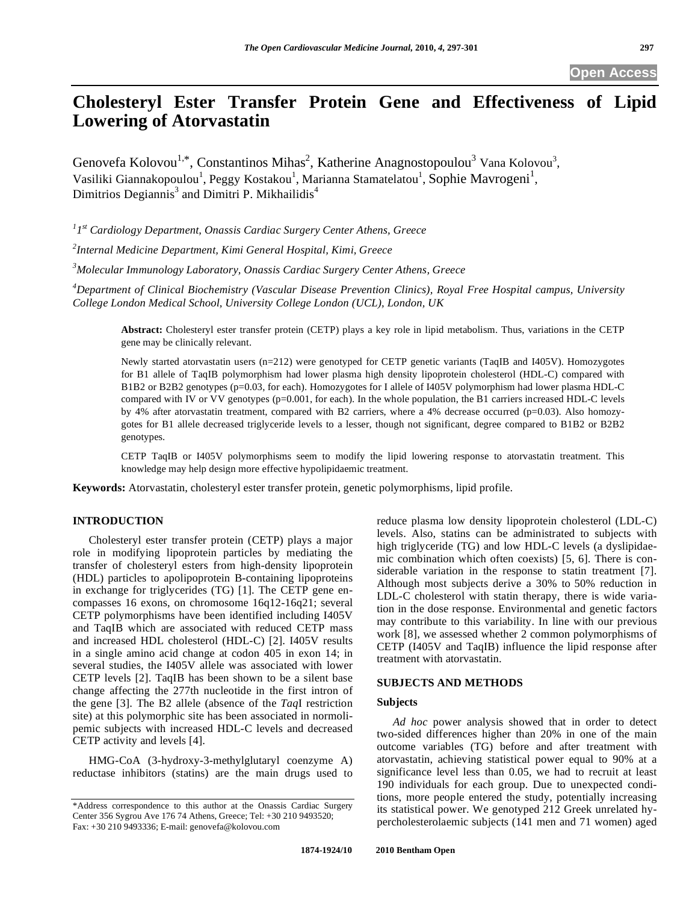# **Cholesteryl Ester Transfer Protein Gene and Effectiveness of Lipid Lowering of Atorvastatin**

Genovefa Kolovou<sup>1,\*</sup>, Constantinos Mihas<sup>2</sup>, Katherine Anagnostopoulou<sup>3</sup> Vana Kolovou<sup>3</sup>, Vasiliki Giannakopoulou<sup>1</sup>, Peggy Kostakou<sup>1</sup>, Marianna Stamatelatou<sup>1</sup>, Sophie Mavrogeni<sup>1</sup>, Dimitrios Degiannis<sup>3</sup> and Dimitri P. Mikhailidis<sup>4</sup>

*1 1st Cardiology Department, Onassis Cardiac Surgery Center Athens, Greece* 

*2 Internal Medicine Department, Kimi General Hospital, Kimi, Greece* 

*3 Molecular Immunology Laboratory, Onassis Cardiac Surgery Center Athens, Greece* 

*4 Department of Clinical Biochemistry (Vascular Disease Prevention Clinics), Royal Free Hospital campus, University College London Medical School, University College London (UCL), London, UK* 

**Abstract:** Cholesteryl ester transfer protein (CETP) plays a key role in lipid metabolism. Thus, variations in the CETP gene may be clinically relevant.

Newly started atorvastatin users (n=212) were genotyped for CETP genetic variants (TaqIB and I405V). Homozygotes for B1 allele of TaqIB polymorphism had lower plasma high density lipoprotein cholesterol (HDL-C) compared with B1B2 or B2B2 genotypes (p=0.03, for each). Homozygotes for I allele of I405V polymorphism had lower plasma HDL-C compared with IV or VV genotypes (p=0.001, for each). In the whole population, the B1 carriers increased HDL-C levels by 4% after atorvastatin treatment, compared with B2 carriers, where a 4% decrease occurred (p=0.03). Also homozygotes for B1 allele decreased triglyceride levels to a lesser, though not significant, degree compared to B1B2 or B2B2 genotypes.

CETP TaqIB or I405V polymorphisms seem to modify the lipid lowering response to atorvastatin treatment. This knowledge may help design more effective hypolipidaemic treatment.

**Keywords:** Atorvastatin, cholesteryl ester transfer protein, genetic polymorphisms, lipid profile.

# **INTRODUCTION**

 Cholesteryl ester transfer protein (CETP) plays a major role in modifying lipoprotein particles by mediating the transfer of cholesteryl esters from high-density lipoprotein (HDL) particles to apolipoprotein B-containing lipoproteins in exchange for triglycerides (TG) [1]. The CETP gene encompasses 16 exons, on chromosome 16q12-16q21; several CETP polymorphisms have been identified including I405V and TaqIB which are associated with reduced CETP mass and increased HDL cholesterol (HDL-C) [2]. I405V results in a single amino acid change at codon 405 in exon 14; in several studies, the I405V allele was associated with lower CETP levels [2]. TaqIB has been shown to be a silent base change affecting the 277th nucleotide in the first intron of the gene [3]. The B2 allele (absence of the *Taq*I restriction site) at this polymorphic site has been associated in normolipemic subjects with increased HDL-C levels and decreased CETP activity and levels [4].

 HMG-CoA (3-hydroxy-3-methylglutaryl coenzyme A) reductase inhibitors (statins) are the main drugs used to reduce plasma low density lipoprotein cholesterol (LDL-C) levels. Also, statins can be administrated to subjects with high triglyceride (TG) and low HDL-C levels (a dyslipidaemic combination which often coexists) [5, 6]. There is considerable variation in the response to statin treatment [7]. Although most subjects derive a 30% to 50% reduction in LDL-C cholesterol with statin therapy, there is wide variation in the dose response. Environmental and genetic factors may contribute to this variability. In line with our previous work [8], we assessed whether 2 common polymorphisms of CETP (I405V and TaqIB) influence the lipid response after treatment with atorvastatin.

## **SUBJECTS AND METHODS**

## **Subjects**

 *Ad hoc* power analysis showed that in order to detect two-sided differences higher than 20% in one of the main outcome variables (TG) before and after treatment with atorvastatin, achieving statistical power equal to 90% at a significance level less than 0.05, we had to recruit at least 190 individuals for each group. Due to unexpected conditions, more people entered the study, potentially increasing its statistical power. We genotyped 212 Greek unrelated hypercholesterolaemic subjects (141 men and 71 women) aged

<sup>\*</sup>Address correspondence to this author at the Onassis Cardiac Surgery Center 356 Sygrou Ave 176 74 Athens, Greece; Tel: +30 210 9493520; Fax: +30 210 9493336; E-mail: genovefa@kolovou.com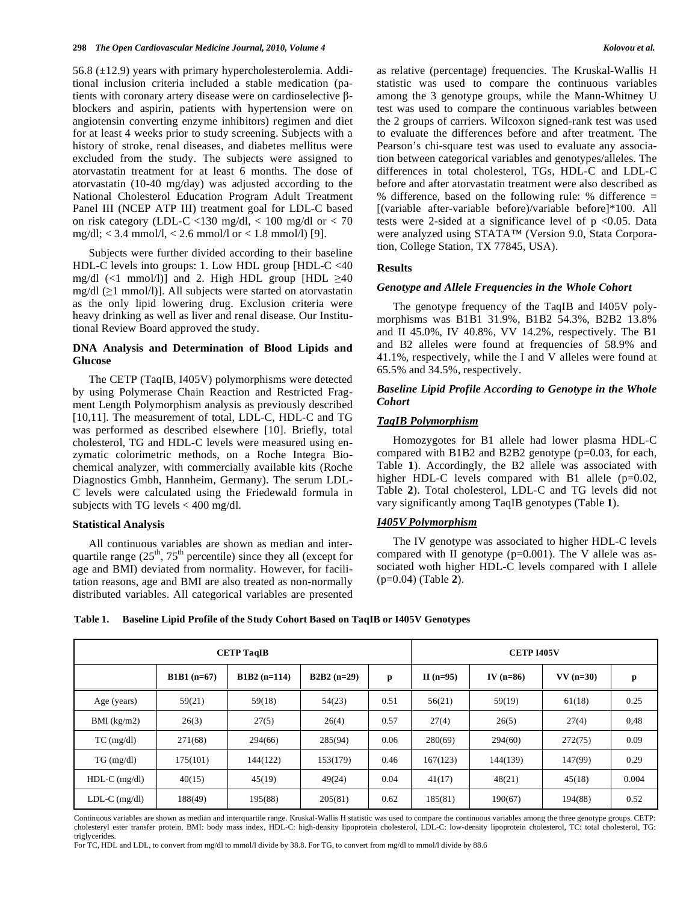56.8  $(\pm 12.9)$  years with primary hypercholesterolemia. Additional inclusion criteria included a stable medication (patients with coronary artery disease were on cardioselective  $\beta$ blockers and aspirin, patients with hypertension were on angiotensin converting enzyme inhibitors) regimen and diet for at least 4 weeks prior to study screening. Subjects with a history of stroke, renal diseases, and diabetes mellitus were excluded from the study. The subjects were assigned to atorvastatin treatment for at least 6 months. The dose of atorvastatin (10-40 mg/day) was adjusted according to the National Cholesterol Education Program Adult Treatment Panel III (NCEP ATP III) treatment goal for LDL-C based on risk category (LDL-C <130 mg/dl, < 100 mg/dl or < 70 mg/dl; < 3.4 mmol/l, < 2.6 mmol/l or < 1.8 mmol/l) [9].

 Subjects were further divided according to their baseline HDL-C levels into groups: 1. Low HDL group [HDL-C <40 mg/dl  $(\leq 1 \text{ mmol/l})$ ] and 2. High HDL group [HDL  $\geq 40$ mg/dl  $(≥1$  mmol/l)]. All subjects were started on atorvastatin as the only lipid lowering drug. Exclusion criteria were heavy drinking as well as liver and renal disease. Our Institutional Review Board approved the study.

# **DNA Analysis and Determination of Blood Lipids and Glucose**

 The CETP (TaqIB, I405V) polymorphisms were detected by using Polymerase Chain Reaction and Restricted Fragment Length Polymorphism analysis as previously described [10,11]. The measurement of total, LDL-C, HDL-C and TG was performed as described elsewhere [10]. Briefly, total cholesterol, TG and HDL-C levels were measured using enzymatic colorimetric methods, on a Roche Integra Biochemical analyzer, with commercially available kits (Roche Diagnostics Gmbh, Hannheim, Germany). The serum LDL-C levels were calculated using the Friedewald formula in subjects with TG levels  $< 400$  mg/dl.

# **Statistical Analysis**

 All continuous variables are shown as median and interquartile range  $(25<sup>th</sup>, 75<sup>th</sup>$  percentile) since they all (except for age and BMI) deviated from normality. However, for facilitation reasons, age and BMI are also treated as non-normally distributed variables. All categorical variables are presented as relative (percentage) frequencies. The Kruskal-Wallis H statistic was used to compare the continuous variables among the 3 genotype groups, while the Mann-Whitney U test was used to compare the continuous variables between the 2 groups of carriers. Wilcoxon signed-rank test was used to evaluate the differences before and after treatment. The Pearson's chi-square test was used to evaluate any association between categorical variables and genotypes/alleles. The differences in total cholesterol, TGs, HDL-C and LDL-C before and after atorvastatin treatment were also described as % difference, based on the following rule: % difference = [(variable after-variable before)/variable before]\*100. All tests were 2-sided at a significance level of  $p < 0.05$ . Data were analyzed using STATA™ (Version 9.0, Stata Corporation, College Station, TX 77845, USA).

## **Results**

## *Genotype and Allele Frequencies in the Whole Cohort*

 The genotype frequency of the TaqIB and I405V polymorphisms was B1B1 31.9%, B1B2 54.3%, B2B2 13.8% and II 45.0%, IV 40.8%, VV 14.2%, respectively. The B1 and B2 alleles were found at frequencies of 58.9% and 41.1%, respectively, while the I and V alleles were found at 65.5% and 34.5%, respectively.

# *Baseline Lipid Profile According to Genotype in the Whole Cohort*

# *TaqIB Polymorphism*

 Homozygotes for B1 allele had lower plasma HDL-C compared with B1B2 and B2B2 genotype (p=0.03, for each, Table **1**). Accordingly, the B2 allele was associated with higher HDL-C levels compared with B1 allele (p=0.02, Table **2**). Total cholesterol, LDL-C and TG levels did not vary significantly among TaqIB genotypes (Table **1**).

#### *I405V Polymorphism*

 The IV genotype was associated to higher HDL-C levels compared with II genotype  $(p=0.001)$ . The V allele was associated woth higher HDL-C levels compared with I allele (p=0.04) (Table **2**).

**Table 1. Baseline Lipid Profile of the Study Cohort Based on TaqIB or I405V Genotypes** 

| <b>CETP TaqIB</b> |              |               |              |      | <b>CETP I405V</b> |             |            |       |
|-------------------|--------------|---------------|--------------|------|-------------------|-------------|------------|-------|
|                   | $B1B1(n=67)$ | $B1B2(n=114)$ | $B2B2(n=29)$ | p    | II $(n=95)$       | IV $(n=86)$ | $VV(n=30)$ | p     |
| Age (years)       | 59(21)       | 59(18)        | 54(23)       | 0.51 | 56(21)            | 59(19)      | 61(18)     | 0.25  |
| BMI $(kg/m2)$     | 26(3)        | 27(5)         | 26(4)        | 0.57 | 27(4)             | 26(5)       | 27(4)      | 0.48  |
| $TC$ (mg/dl)      | 271(68)      | 294(66)       | 285(94)      | 0.06 | 280(69)           | 294(60)     | 272(75)    | 0.09  |
| $TG \, (mg/dl)$   | 175(101)     | 144(122)      | 153(179)     | 0.46 | 167(123)          | 144(139)    | 147(99)    | 0.29  |
| $HDL-C$ (mg/dl)   | 40(15)       | 45(19)        | 49(24)       | 0.04 | 41(17)            | 48(21)      | 45(18)     | 0.004 |
| $LDL-C$ (mg/dl)   | 188(49)      | 195(88)       | 205(81)      | 0.62 | 185(81)           | 190(67)     | 194(88)    | 0.52  |

Continuous variables are shown as median and interquartile range. Kruskal-Wallis H statistic was used to compare the continuous variables among the three genotype groups. CETP: cholesteryl ester transfer protein, BMI: body mass index, HDL-C: high-density lipoprotein cholesterol, LDL-C: low-density lipoprotein cholesterol, TC: total cholesterol, TG: triglycerides

For TC, HDL and LDL, to convert from mg/dl to mmol/l divide by 38.8. For TG, to convert from mg/dl to mmol/l divide by 88.6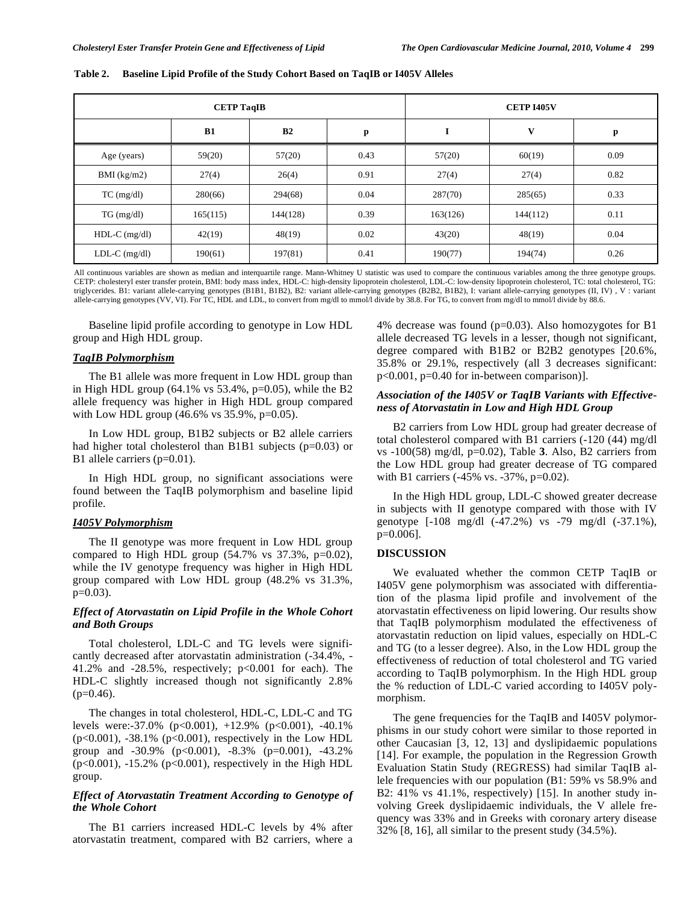| <b>CETP TaqIB</b> |          |          |      | <b>CETP I405V</b> |          |      |  |
|-------------------|----------|----------|------|-------------------|----------|------|--|
|                   | B1       | B2       | p    | I                 | V        | р    |  |
| Age (years)       | 59(20)   | 57(20)   | 0.43 | 57(20)            | 60(19)   | 0.09 |  |
| BMI $(kg/m2)$     | 27(4)    | 26(4)    | 0.91 | 27(4)             | 27(4)    | 0.82 |  |
| $TC$ (mg/dl)      | 280(66)  | 294(68)  | 0.04 | 287(70)           | 285(65)  | 0.33 |  |
| $TG \, (mg/dl)$   | 165(115) | 144(128) | 0.39 | 163(126)          | 144(112) | 0.11 |  |
| $HDL-C$ (mg/dl)   | 42(19)   | 48(19)   | 0.02 | 43(20)            | 48(19)   | 0.04 |  |
| $LDL-C$ (mg/dl)   | 190(61)  | 197(81)  | 0.41 | 190(77)           | 194(74)  | 0.26 |  |

**Table 2. Baseline Lipid Profile of the Study Cohort Based on TaqIB or I405V Alleles** 

All continuous variables are shown as median and interquartile range. Mann-Whitney U statistic was used to compare the continuous variables among the three genotype groups.<br>CETP: cholesteryl ester transfer protein, BMI: bo triglycerides. B1: variant allele-carrying genotypes (B1B1, B1B2), B2: variant allele-carrying genotypes (B2B2, B1B2), I: variant allele-carrying genotypes (II, IV) , V : variant allele-carrying genotypes (VV, VI). For TC, HDL and LDL, to convert from mg/dl to mmol/l divide by 38.8. For TG, to convert from mg/dl to mmol/l divide by 88.6.

 Baseline lipid profile according to genotype in Low HDL group and High HDL group.

# *TaqIB Polymorphism*

 The B1 allele was more frequent in Low HDL group than in High HDL group  $(64.1\% \text{ vs } 53.4\%, \text{ p=0.05})$ , while the B2 allele frequency was higher in High HDL group compared with Low HDL group (46.6% vs 35.9%, p=0.05).

 In Low HDL group, B1B2 subjects or B2 allele carriers had higher total cholesterol than B1B1 subjects (p=0.03) or B1 allele carriers (p=0.01).

 In High HDL group, no significant associations were found between the TaqIB polymorphism and baseline lipid profile.

#### *I405V Polymorphism*

 The II genotype was more frequent in Low HDL group compared to High HDL group  $(54.7\% \text{ vs } 37.3\%, \text{ p=0.02}),$ while the IV genotype frequency was higher in High HDL group compared with Low HDL group (48.2% vs 31.3%,  $p=0.03$ ).

## *Effect of Atorvastatin on Lipid Profile in the Whole Cohort and Both Groups*

 Total cholesterol, LDL-C and TG levels were significantly decreased after atorvastatin administration (-34.4%, - 41.2% and -28.5%, respectively; p<0.001 for each). The HDL-C slightly increased though not significantly 2.8%  $(p=0.46)$ .

 The changes in total cholesterol, HDL-C, LDL-C and TG levels were:-37.0% (p<0.001), +12.9% (p<0.001), -40.1% (p<0.001), -38.1% (p<0.001), respectively in the Low HDL group and -30.9% (p<0.001), -8.3% (p=0.001), -43.2% (p<0.001), -15.2% (p<0.001), respectively in the High HDL group.

# *Effect of Atorvastatin Treatment According to Genotype of the Whole Cohort*

 The B1 carriers increased HDL-C levels by 4% after atorvastatin treatment, compared with B2 carriers, where a 4% decrease was found (p=0.03). Also homozygotes for B1 allele decreased TG levels in a lesser, though not significant, degree compared with B1B2 or B2B2 genotypes [20.6%, 35.8% or 29.1%, respectively (all 3 decreases significant: p<0.001, p=0.40 for in-between comparison)].

# *Association of the I405V or TaqIB Variants with Effectiveness of Atorvastatin in Low and High HDL Group*

 B2 carriers from Low HDL group had greater decrease of total cholesterol compared with B1 carriers (-120 (44) mg/dl vs -100(58) mg/dl, p=0.02), Table **3**. Also, B2 carriers from the Low HDL group had greater decrease of TG compared with B1 carriers (-45% vs. -37%, p=0.02).

 In the High HDL group, LDL-C showed greater decrease in subjects with II genotype compared with those with IV genotype [-108 mg/dl (-47.2%) vs -79 mg/dl (-37.1%), p=0.006].

## **DISCUSSION**

 We evaluated whether the common CETP TaqIB or I405V gene polymorphism was associated with differentiation of the plasma lipid profile and involvement of the atorvastatin effectiveness on lipid lowering. Our results show that TaqIB polymorphism modulated the effectiveness of atorvastatin reduction on lipid values, especially on HDL-C and TG (to a lesser degree). Also, in the Low HDL group the effectiveness of reduction of total cholesterol and TG varied according to TaqIB polymorphism. In the High HDL group the % reduction of LDL-C varied according to I405V polymorphism.

 The gene frequencies for the TaqIB and I405V polymorphisms in our study cohort were similar to those reported in other Caucasian [3, 12, 13] and dyslipidaemic populations [14]. For example, the population in the Regression Growth Evaluation Statin Study (REGRESS) had similar TaqIB allele frequencies with our population (B1: 59% vs 58.9% and B2: 41% vs 41.1%, respectively) [15]. In another study involving Greek dyslipidaemic individuals, the V allele frequency was 33% and in Greeks with coronary artery disease 32% [8, 16], all similar to the present study (34.5%).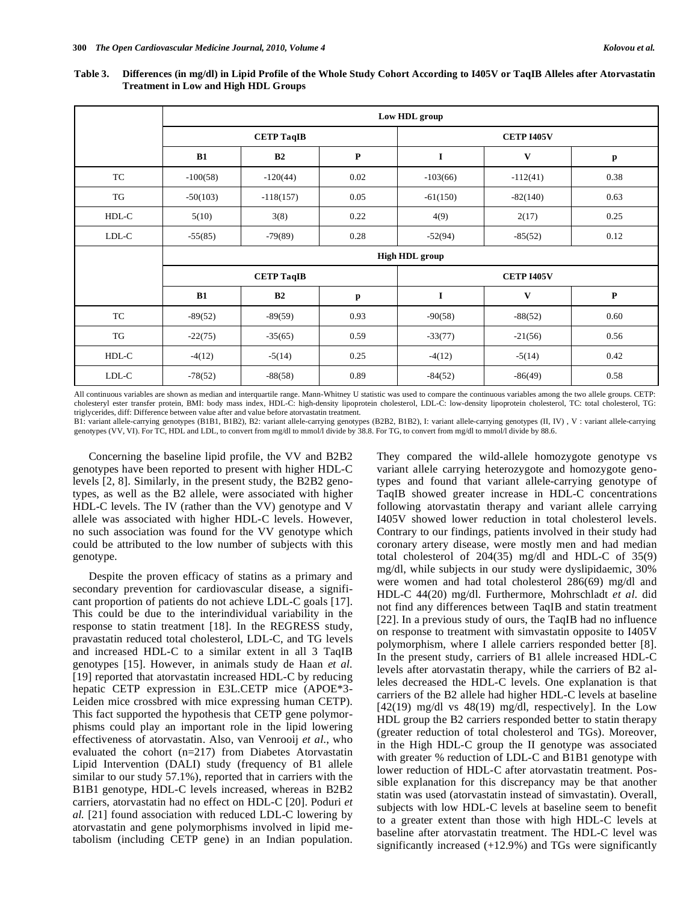|       | Low HDL group         |             |           |                   |              |             |  |  |
|-------|-----------------------|-------------|-----------|-------------------|--------------|-------------|--|--|
|       | <b>CETP TaqIB</b>     |             |           | <b>CETP I405V</b> |              |             |  |  |
|       | B1                    | B2          | ${\bf P}$ | $\mathbf I$       | $\mathbf{V}$ | p           |  |  |
| TC    | $-100(58)$            | $-120(44)$  | 0.02      | $-103(66)$        | $-112(41)$   | 0.38        |  |  |
| TG    | $-50(103)$            | $-118(157)$ | 0.05      | $-61(150)$        | $-82(140)$   | 0.63        |  |  |
| HDL-C | 5(10)                 | 3(8)        | 0.22      | 4(9)              | 2(17)        | 0.25        |  |  |
| LDL-C | $-55(85)$             | $-79(89)$   | 0.28      | $-52(94)$         | $-85(52)$    | 0.12        |  |  |
|       | <b>High HDL</b> group |             |           |                   |              |             |  |  |
|       | <b>CETP TaqIB</b>     |             |           | <b>CETP I405V</b> |              |             |  |  |
|       | B1                    | B2          | p         | I                 | $\mathbf{V}$ | $\mathbf P$ |  |  |
| TC    | $-89(52)$             | $-89(59)$   | 0.93      | $-90(58)$         | $-88(52)$    | 0.60        |  |  |
| TG    | $-22(75)$             | $-35(65)$   | 0.59      | $-33(77)$         | $-21(56)$    | 0.56        |  |  |
| HDL-C | $-4(12)$              | $-5(14)$    | 0.25      | $-4(12)$          | $-5(14)$     | 0.42        |  |  |
| LDL-C | $-78(52)$             | $-88(58)$   | 0.89      | $-84(52)$         | $-86(49)$    | 0.58        |  |  |

**Table 3. Differences (in mg/dl) in Lipid Profile of the Whole Study Cohort According to I405V or TaqIB Alleles after Atorvastatin Treatment in Low and High HDL Groups** 

All continuous variables are shown as median and interquartile range. Mann-Whitney U statistic was used to compare the continuous variables among the two allele groups. CETP: cholesteryl ester transfer protein, BMI: body mass index, HDL-C: high-density lipoprotein cholesterol, LDL-C: low-density lipoprotein cholesterol, TC: total cholesterol, TG: triglycerides, diff: Difference between value after and value before atorvastatin treatment.

B1: variant allele-carrying genotypes (B1B1, B1B2), B2: variant allele-carrying genotypes (B2B2, B1B2), I: variant allele-carrying genotypes (II, IV) , V : variant allele-carrying genotypes (VV, VI). For TC, HDL and LDL, to convert from mg/dl to mmol/l divide by 38.8. For TG, to convert from mg/dl to mmol/l divide by 88.6.

 Concerning the baseline lipid profile, the VV and B2B2 genotypes have been reported to present with higher HDL-C levels [2, 8]. Similarly, in the present study, the B2B2 genotypes, as well as the B2 allele, were associated with higher HDL-C levels. The IV (rather than the VV) genotype and V allele was associated with higher HDL-C levels. However, no such association was found for the VV genotype which could be attributed to the low number of subjects with this genotype.

 Despite the proven efficacy of statins as a primary and secondary prevention for cardiovascular disease, a significant proportion of patients do not achieve LDL-C goals [17]. This could be due to the interindividual variability in the response to statin treatment [18]. In the REGRESS study, pravastatin reduced total cholesterol, LDL-C, and TG levels and increased HDL-C to a similar extent in all 3 TaqIB genotypes [15]. However, in animals study de Haan *et al.* [19] reported that atorvastatin increased HDL-C by reducing hepatic CETP expression in E3L.CETP mice (APOE\*3- Leiden mice crossbred with mice expressing human CETP). This fact supported the hypothesis that CETP gene polymorphisms could play an important role in the lipid lowering effectiveness of atorvastatin. Also, van Venrooij *et al*., who evaluated the cohort (n=217) from Diabetes Atorvastatin Lipid Intervention (DALI) study (frequency of B1 allele similar to our study 57.1%), reported that in carriers with the B1B1 genotype, HDL-C levels increased, whereas in B2B2 carriers, atorvastatin had no effect on HDL-C [20]. Poduri *et al.* [21] found association with reduced LDL-C lowering by atorvastatin and gene polymorphisms involved in lipid metabolism (including CETP gene) in an Indian population.

They compared the wild-allele homozygote genotype vs variant allele carrying heterozygote and homozygote genotypes and found that variant allele-carrying genotype of TaqIB showed greater increase in HDL-C concentrations following atorvastatin therapy and variant allele carrying I405V showed lower reduction in total cholesterol levels. Contrary to our findings, patients involved in their study had coronary artery disease, were mostly men and had median total cholesterol of 204(35) mg/dl and HDL-C of 35(9) mg/dl, while subjects in our study were dyslipidaemic, 30% were women and had total cholesterol 286(69) mg/dl and HDL-C 44(20) mg/dl. Furthermore, Mohrschladt *et al*. did not find any differences between TaqIB and statin treatment [22]. In a previous study of ours, the TaqIB had no influence on response to treatment with simvastatin opposite to I405V polymorphism, where I allele carriers responded better [8]. In the present study, carriers of B1 allele increased HDL-C levels after atorvastatin therapy, while the carriers of B2 alleles decreased the HDL-C levels. One explanation is that carriers of the B2 allele had higher HDL-C levels at baseline  $[42(19)$  mg/dl vs  $48(19)$  mg/dl, respectively]. In the Low HDL group the B2 carriers responded better to statin therapy (greater reduction of total cholesterol and TGs). Moreover, in the High HDL-C group the II genotype was associated with greater % reduction of LDL-C and B1B1 genotype with lower reduction of HDL-C after atorvastatin treatment. Possible explanation for this discrepancy may be that another statin was used (atorvastatin instead of simvastatin). Overall, subjects with low HDL-C levels at baseline seem to benefit to a greater extent than those with high HDL-C levels at baseline after atorvastatin treatment. The HDL-C level was significantly increased (+12.9%) and TGs were significantly